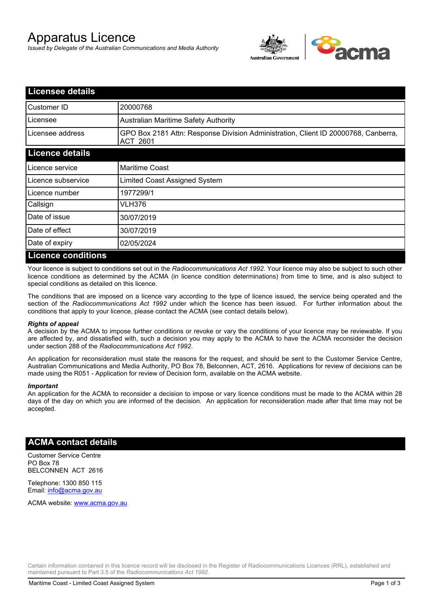# Apparatus Licence

*Issued by Delegate of the Australian Communications and Media Authority*



| <b>Licensee details</b>   |                                                                                                       |
|---------------------------|-------------------------------------------------------------------------------------------------------|
| Customer ID               | 20000768                                                                                              |
| Licensee                  | <b>Australian Maritime Safety Authority</b>                                                           |
| Licensee address          | GPO Box 2181 Attn: Response Division Administration, Client ID 20000768, Canberra,<br><b>ACT 2601</b> |
| <b>Licence details</b>    |                                                                                                       |
| Licence service           | <b>Maritime Coast</b>                                                                                 |
| Licence subservice        | Limited Coast Assigned System                                                                         |
| Licence number            | 1977299/1                                                                                             |
| Callsign                  | VLH376                                                                                                |
| Date of issue             | 30/07/2019                                                                                            |
| Date of effect            | 30/07/2019                                                                                            |
| Date of expiry            | 02/05/2024                                                                                            |
| <b>Licence conditions</b> |                                                                                                       |

Your licence is subject to conditions set out in the *Radiocommunications Act 1992*. Your licence may also be subject to such other licence conditions as determined by the ACMA (in licence condition determinations) from time to time, and is also subject to special conditions as detailed on this licence.

The conditions that are imposed on a licence vary according to the type of licence issued, the service being operated and the section of the *Radiocommunications Act 1992* under which the licence has been issued. For further information about the conditions that apply to your licence, please contact the ACMA (see contact details below).

### *Rights of appeal*

A decision by the ACMA to impose further conditions or revoke or vary the conditions of your licence may be reviewable. If you are affected by, and dissatisfied with, such a decision you may apply to the ACMA to have the ACMA reconsider the decision under section 288 of the *Radiocommunications Act 1992*.

An application for reconsideration must state the reasons for the request, and should be sent to the Customer Service Centre, Australian Communications and Media Authority, PO Box 78, Belconnen, ACT, 2616. Applications for review of decisions can be made using the R051 - Application for review of Decision form, available on the ACMA website.

#### *Important*

An application for the ACMA to reconsider a decision to impose or vary licence conditions must be made to the ACMA within 28 days of the day on which you are informed of the decision. An application for reconsideration made after that time may not be accepted.

### **ACMA contact details**

Customer Service Centre PO Box 78 BELCONNEN ACT 2616

Telephone: 1300 850 115 Email: info@acma.gov.au

ACMA website: www.acma.gov.au

Certain information contained in this licence record will be disclosed in the Register of Radiocommunications Licences (RRL), established and maintained pursuant to Part 3.5 of the *Radiocommunications Act 1992.*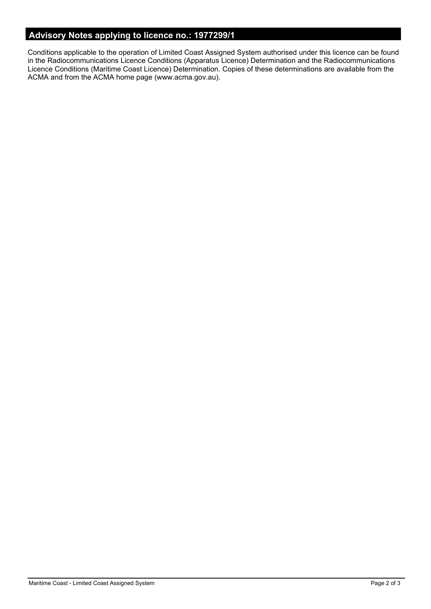# **Advisory Notes applying to licence no.: 1977299/1**

Conditions applicable to the operation of Limited Coast Assigned System authorised under this licence can be found in the Radiocommunications Licence Conditions (Apparatus Licence) Determination and the Radiocommunications Licence Conditions (Maritime Coast Licence) Determination. Copies of these determinations are available from the ACMA and from the ACMA home page (www.acma.gov.au).